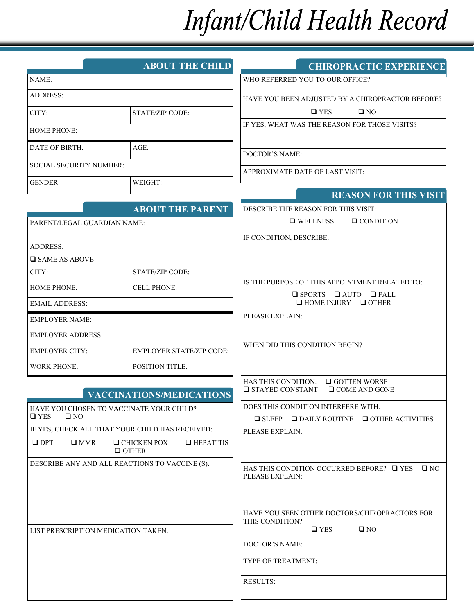## Infant/Child Health Record

|                                                                                       | <b>ABOUT THE CHILD</b>                                 | <b>CHIROPRACTIC EXPERIENCE</b>                                                                    |  |
|---------------------------------------------------------------------------------------|--------------------------------------------------------|---------------------------------------------------------------------------------------------------|--|
| NAME:                                                                                 |                                                        | WHO REFERRED YOU TO OUR OFFICE?                                                                   |  |
| <b>ADDRESS:</b>                                                                       |                                                        | HAVE YOU BEEN ADJUSTED BY A CHIROPRACTOR BEFORE?                                                  |  |
| CITY:                                                                                 | <b>STATE/ZIP CODE:</b>                                 | $\square$ YES<br>$\square$ NO                                                                     |  |
| <b>HOME PHONE:</b>                                                                    |                                                        | IF YES, WHAT WAS THE REASON FOR THOSE VISITS?                                                     |  |
| DATE OF BIRTH:                                                                        | $AGE$ :                                                |                                                                                                   |  |
|                                                                                       |                                                        | <b>DOCTOR'S NAME:</b>                                                                             |  |
| <b>SOCIAL SECURITY NUMBER:</b>                                                        |                                                        | APPROXIMATE DATE OF LAST VISIT:                                                                   |  |
| <b>GENDER:</b>                                                                        | WEIGHT:                                                | <b>REASON FOR THIS VISIT</b>                                                                      |  |
|                                                                                       | <b>ABOUT THE PARENT</b>                                | DESCRIBE THE REASON FOR THIS VISIT:                                                               |  |
| PARENT/LEGAL GUARDIAN NAME:                                                           |                                                        | $\Box$ WELLNESS<br>$\Box$ CONDITION                                                               |  |
|                                                                                       |                                                        | IF CONDITION, DESCRIBE:                                                                           |  |
| <b>ADDRESS:</b>                                                                       |                                                        |                                                                                                   |  |
| $\square$ SAME AS ABOVE<br>CITY:                                                      | STATE/ZIP CODE:                                        |                                                                                                   |  |
| <b>HOME PHONE:</b>                                                                    | <b>CELL PHONE:</b>                                     | IS THE PURPOSE OF THIS APPOINTMENT RELATED TO:                                                    |  |
|                                                                                       |                                                        | $\Box$ SPORTS $\Box$ AUTO $\Box$ FALL<br>$\Box$ HOME INJURY $\Box$ OTHER                          |  |
| <b>EMAIL ADDRESS:</b>                                                                 |                                                        | PLEASE EXPLAIN:                                                                                   |  |
| <b>EMPLOYER NAME:</b>                                                                 |                                                        |                                                                                                   |  |
| <b>EMPLOYER ADDRESS:</b>                                                              |                                                        | WHEN DID THIS CONDITION BEGIN?                                                                    |  |
| <b>EMPLOYER CITY:</b>                                                                 | <b>EMPLOYER STATE/ZIP CODE:</b>                        |                                                                                                   |  |
| <b>WORK PHONE:</b>                                                                    | POSITION TITLE:                                        |                                                                                                   |  |
|                                                                                       | <b>VACCINATIONS/MEDICATIONS</b>                        | HAS THIS CONDITION:<br>$\Box$ GOTTEN WORSE<br><b>O</b> STAYED CONSTANT<br>$\Box$ COME AND GONE    |  |
|                                                                                       |                                                        | DOES THIS CONDITION INTERFERE WITH:                                                               |  |
| HAVE YOU CHOSEN TO VACCINATE YOUR CHILD?<br>$\square$ YES<br>$\square$ NO             |                                                        | $\Box$ SLEEP $\Box$ DAILY ROUTINE $\Box$ OTHER ACTIVITIES                                         |  |
| IF YES, CHECK ALL THAT YOUR CHILD HAS RECEIVED:                                       |                                                        | PLEASE EXPLAIN:                                                                                   |  |
| $\square$ DPT<br>$\Box$ MMR                                                           | $\Box$ CHICKEN POX<br>$\Box$ HEPATITIS<br>$\Box$ OTHER |                                                                                                   |  |
| DESCRIBE ANY AND ALL REACTIONS TO VACCINE (S):<br>LIST PRESCRIPTION MEDICATION TAKEN: |                                                        | HAS THIS CONDITION OCCURRED BEFORE? $\Box$ YES<br>$\square$ NO<br>PLEASE EXPLAIN:                 |  |
|                                                                                       |                                                        | HAVE YOU SEEN OTHER DOCTORS/CHIROPRACTORS FOR<br>THIS CONDITION?<br>$\square$ YES<br>$\square$ NO |  |
|                                                                                       |                                                        | DOCTOR'S NAME:                                                                                    |  |
|                                                                                       |                                                        | TYPE OF TREATMENT:                                                                                |  |
|                                                                                       |                                                        | <b>RESULTS:</b>                                                                                   |  |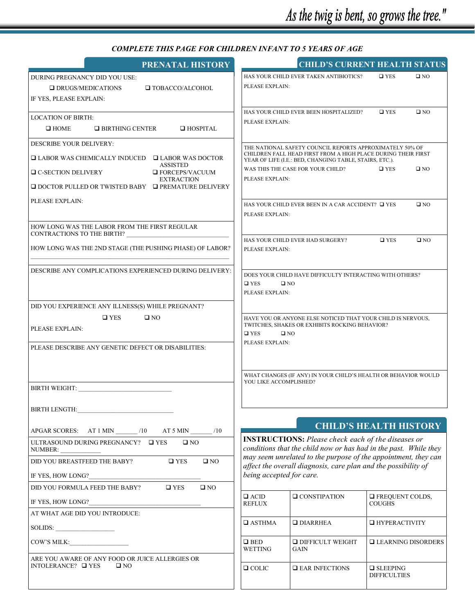## *COMPLETE THIS PAGE FOR CHILDREN INFANT TO 5 YEARS OF AGE*

| PRENATAL HISTORY                                                                    |                                                                                                                                                                                                                   | <b>CHILD'S CURRENT HEALTH STATUS</b>                                                                                             |                                           |                                         |
|-------------------------------------------------------------------------------------|-------------------------------------------------------------------------------------------------------------------------------------------------------------------------------------------------------------------|----------------------------------------------------------------------------------------------------------------------------------|-------------------------------------------|-----------------------------------------|
| DURING PREGNANCY DID YOU USE:                                                       |                                                                                                                                                                                                                   | HAS YOUR CHILD EVER TAKEN ANTIBIOTICS?                                                                                           | $\square$ YES                             | $\square$ NO                            |
| <b>O DRUGS/MEDICATIONS</b><br>$\Box$ TOBACCO/ALCOHOL                                | PLEASE EXPLAIN:                                                                                                                                                                                                   |                                                                                                                                  |                                           |                                         |
| IF YES, PLEASE EXPLAIN:                                                             |                                                                                                                                                                                                                   |                                                                                                                                  |                                           |                                         |
| <b>LOCATION OF BIRTH:</b>                                                           | PLEASE EXPLAIN:                                                                                                                                                                                                   | HAS YOUR CHILD EVER BEEN HOSPITALIZED?                                                                                           | $\square$ YES                             | $\square$ NO                            |
| $\Box$ HOME<br>$\Box$ BIRTHING CENTER<br>$\Box$ HOSPITAL                            |                                                                                                                                                                                                                   |                                                                                                                                  |                                           |                                         |
| <b>DESCRIBE YOUR DELIVERY:</b>                                                      |                                                                                                                                                                                                                   | THE NATIONAL SAFETY COUNCIL REPORTS APPROXIMATELY 50% OF                                                                         |                                           |                                         |
| $\Box$ LABOR WAS CHEMICALLY INDUCED $\Box$ LABOR WAS DOCTOR                         | CHILDREN FALL HEAD FIRST FROM A HIGH PLACE DURING THEIR FIRST<br>YEAR OF LIFE (I.E.: BED, CHANGING TABLE, STAIRS, ETC.).<br>WAS THIS THE CASE FOR YOUR CHILD?<br>$\square$ YES<br>$\square$ NO<br>PLEASE EXPLAIN: |                                                                                                                                  |                                           |                                         |
| <b>ASSISTED</b><br>$\Box$ C-SECTION DELIVERY<br>$\Box$ FORCEPS/VACUUM               |                                                                                                                                                                                                                   |                                                                                                                                  |                                           |                                         |
| <b>EXTRACTION</b><br>$\Box$ DOCTOR PULLED OR TWISTED BABY $\Box$ PREMATURE DELIVERY |                                                                                                                                                                                                                   |                                                                                                                                  |                                           |                                         |
| PLEASE EXPLAIN:                                                                     | HAS YOUR CHILD EVER BEEN IN A CAR ACCIDENT? □ YES<br>$\square$ NO                                                                                                                                                 |                                                                                                                                  |                                           |                                         |
|                                                                                     | PLEASE EXPLAIN:                                                                                                                                                                                                   |                                                                                                                                  |                                           |                                         |
| HOW LONG WAS THE LABOR FROM THE FIRST REGULAR                                       |                                                                                                                                                                                                                   |                                                                                                                                  |                                           |                                         |
| HOW LONG WAS THE 2ND STAGE (THE PUSHING PHASE) OF LABOR?                            | HAS YOUR CHILD EVER HAD SURGERY?<br>$\square$ YES<br>$\square$ NO<br>PLEASE EXPLAIN:                                                                                                                              |                                                                                                                                  |                                           |                                         |
|                                                                                     |                                                                                                                                                                                                                   |                                                                                                                                  |                                           |                                         |
| DESCRIBE ANY COMPLICATIONS EXPERIENCED DURING DELIVERY:                             | DOES YOUR CHILD HAVE DIFFICULTY INTERACTING WITH OTHERS?<br>$\square$ YES<br>$\square$ NO                                                                                                                         |                                                                                                                                  |                                           |                                         |
|                                                                                     |                                                                                                                                                                                                                   |                                                                                                                                  |                                           |                                         |
|                                                                                     | PLEASE EXPLAIN:                                                                                                                                                                                                   |                                                                                                                                  |                                           |                                         |
| DID YOU EXPERIENCE ANY ILLNESS(S) WHILE PREGNANT?                                   |                                                                                                                                                                                                                   |                                                                                                                                  |                                           |                                         |
| $\square$ YES<br>$\square$ NO<br>PLEASE EXPLAIN:                                    | HAVE YOU OR ANYONE ELSE NOTICED THAT YOUR CHILD IS NERVOUS,<br>TWITCHES, SHAKES OR EXHIBITS ROCKING BEHAVIOR?                                                                                                     |                                                                                                                                  |                                           |                                         |
|                                                                                     | $\square$ YES<br>PLEASE EXPLAIN:                                                                                                                                                                                  | $\square$ NO                                                                                                                     |                                           |                                         |
| PLEASE DESCRIBE ANY GENETIC DEFECT OR DISABILITIES:                                 |                                                                                                                                                                                                                   |                                                                                                                                  |                                           |                                         |
|                                                                                     |                                                                                                                                                                                                                   |                                                                                                                                  |                                           |                                         |
|                                                                                     | YOU LIKE ACCOMPLISHED?                                                                                                                                                                                            | WHAT CHANGES (IF ANY) IN YOUR CHILD'S HEALTH OR BEHAVIOR WOULD                                                                   |                                           |                                         |
|                                                                                     |                                                                                                                                                                                                                   |                                                                                                                                  |                                           |                                         |
| <b>BIRTH LENGTH:</b><br>the control of the control of the control of                |                                                                                                                                                                                                                   |                                                                                                                                  |                                           |                                         |
|                                                                                     |                                                                                                                                                                                                                   |                                                                                                                                  |                                           |                                         |
| APGAR SCORES: AT 1 MIN _______ /10 AT 5 MIN ______ /10                              |                                                                                                                                                                                                                   | <b>CHILD'S HEALTH HISTORY</b>                                                                                                    |                                           |                                         |
| ULTRASOUND DURING PREGNANCY? □ YES<br>$\square$ NO                                  | <b>INSTRUCTIONS:</b> Please check each of the diseases or<br>conditions that the child now or has had in the past. While they                                                                                     |                                                                                                                                  |                                           |                                         |
| $\square$ NO                                                                        |                                                                                                                                                                                                                   | may seem unrelated to the purpose of the appointment, they can<br>affect the overall diagnosis, care plan and the possibility of |                                           |                                         |
|                                                                                     | being accepted for care.                                                                                                                                                                                          |                                                                                                                                  |                                           |                                         |
| DID YOU FORMULA FEED THE BABY?<br>$\square$ YES<br>$\square$ NO                     |                                                                                                                                                                                                                   |                                                                                                                                  |                                           |                                         |
| IF YES, HOW LONG?                                                                   | $\Box$ ACID<br><b>REFLUX</b>                                                                                                                                                                                      | $\hfill\blacksquare$<br>CONSTIPATION                                                                                             | <b>EXECUENT COLDS,</b><br><b>COUGHS</b>   |                                         |
| AT WHAT AGE DID YOU INTRODUCE:                                                      |                                                                                                                                                                                                                   |                                                                                                                                  |                                           |                                         |
| $SOLIDS:$                                                                           | $\Box$ ASTHMA                                                                                                                                                                                                     | $\Box$ DIARRHEA                                                                                                                  | <b>INPERACTIVITY</b>                      |                                         |
|                                                                                     | $\square$ BED                                                                                                                                                                                                     | <b>O DIFFICULT WEIGHT</b>                                                                                                        |                                           | $\hfill\blacksquare$ LEARNING DISORDERS |
| ARE YOU AWARE OF ANY FOOD OR JUICE ALLERGIES OR                                     | <b>WETTING</b>                                                                                                                                                                                                    | <b>GAIN</b>                                                                                                                      |                                           |                                         |
| INTOLERANCE? $\Box$ YES<br>$\square$ NO                                             | $\Box$ COLIC                                                                                                                                                                                                      | $\square$ EAR INFECTIONS                                                                                                         | $\square$ SLEEPING<br><b>DIFFICULTIES</b> |                                         |